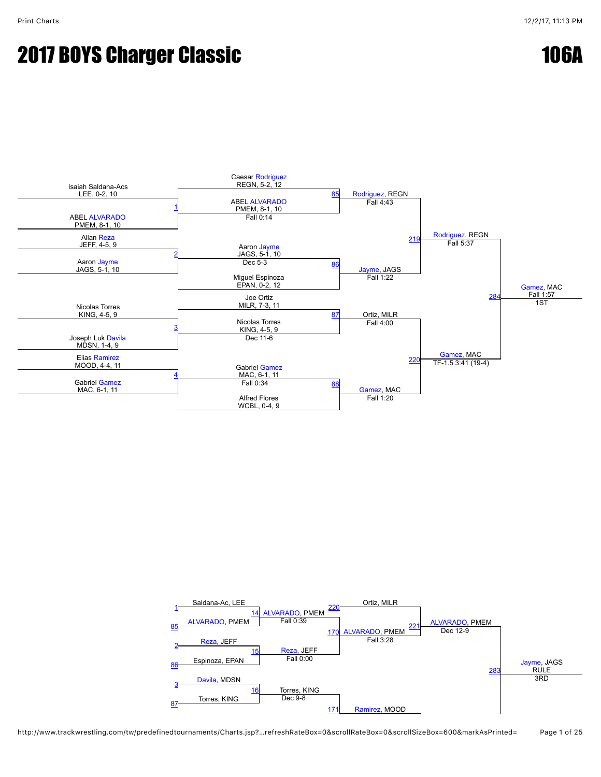#### **2017 BOYS Charger Classic 106A**



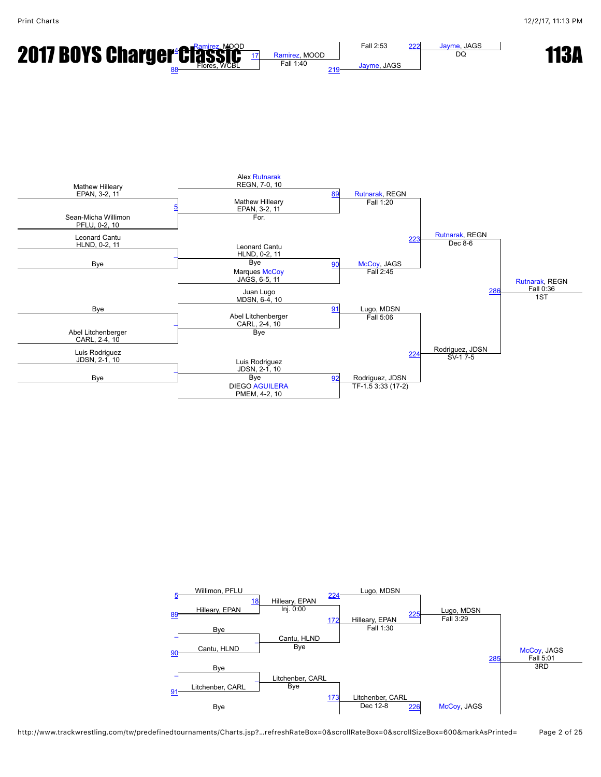



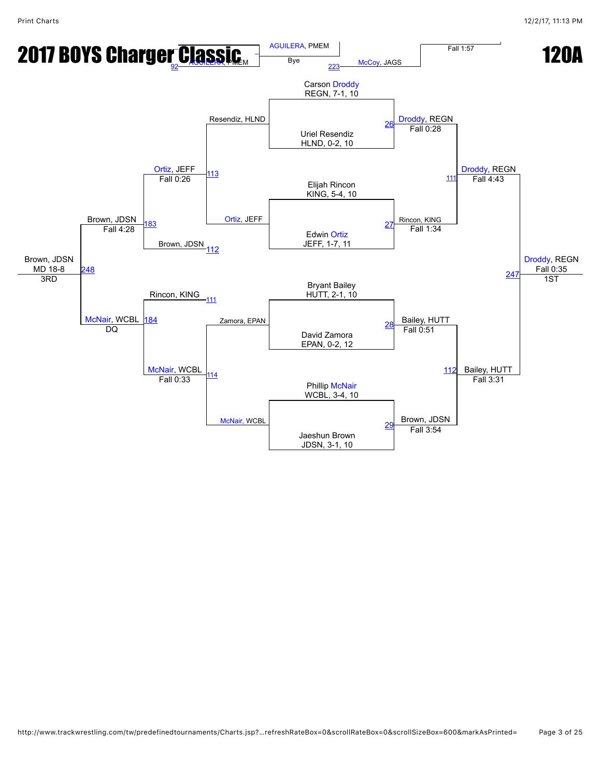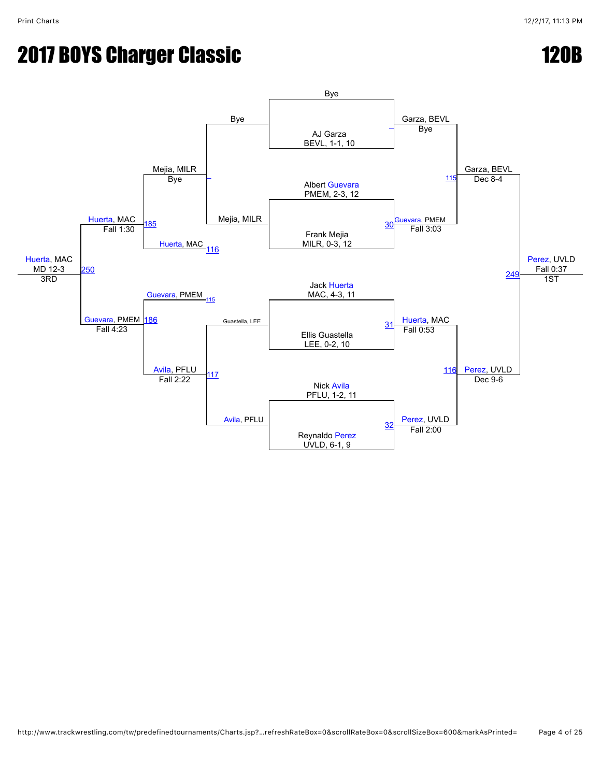# **2017 BOYS Charger Classic 120B**

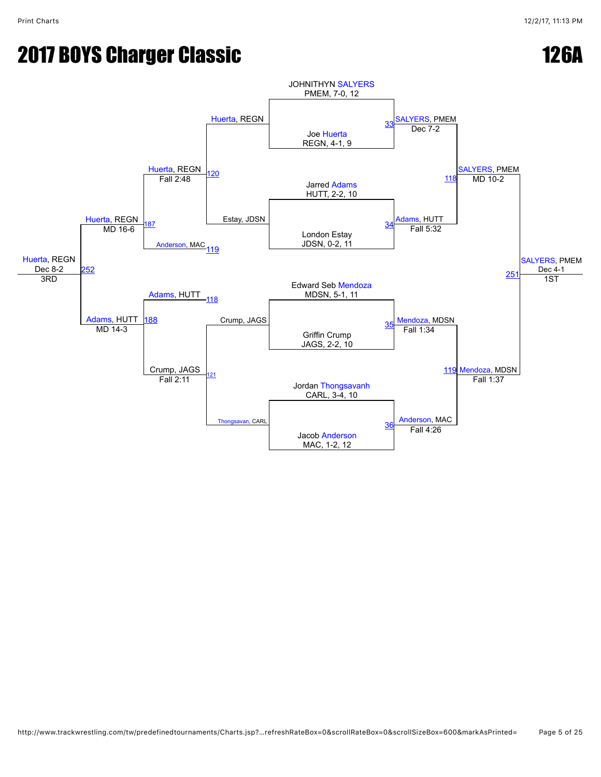#### **2017 BOYS Charger Classic 126A**



http://www.trackwrestling.com/tw/predefinedtournaments/Charts.jsp?…refreshRateBox=0&scrollRateBox=0&scrollSizeBox=600&markAsPrinted= Page 5 of 25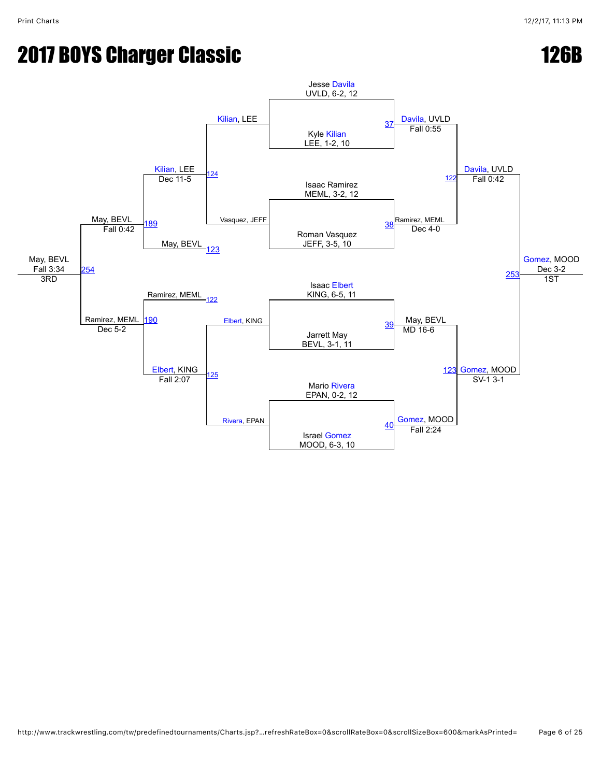### **2017 BOYS Charger Classic 126B**

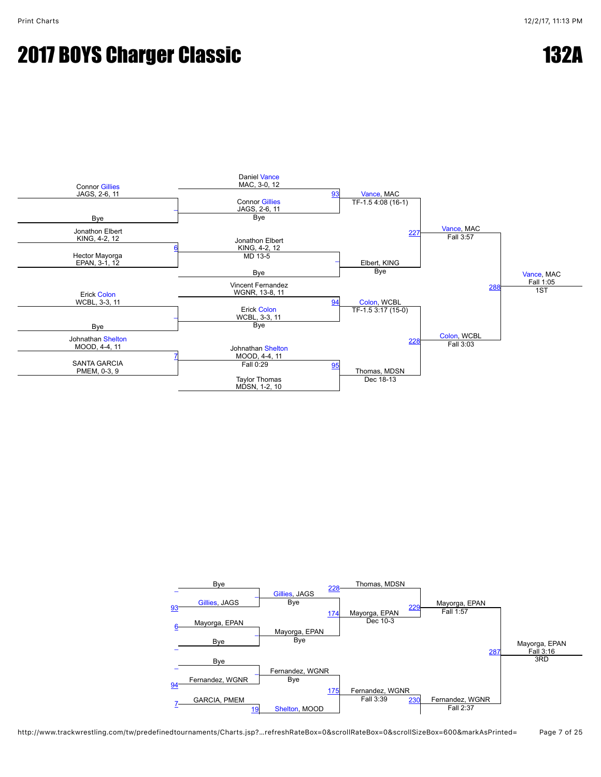#### **2017 BOYS Charger Classic 132A**



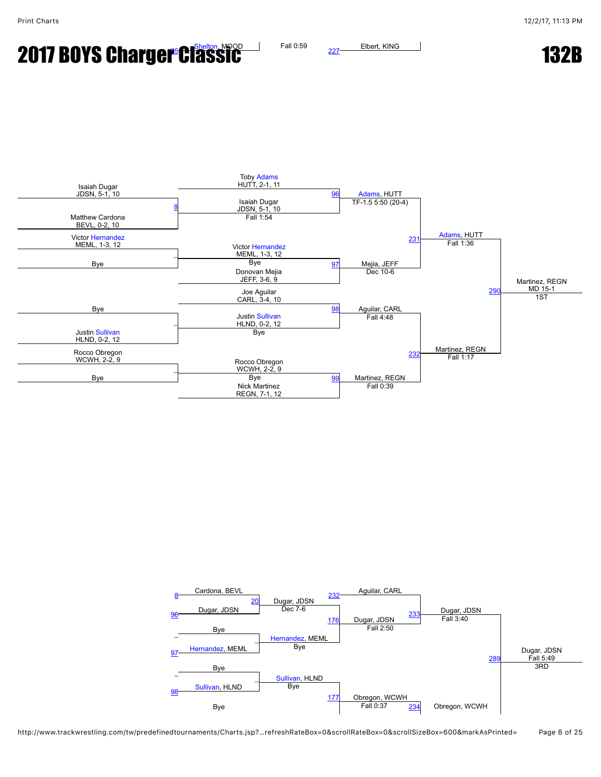**2017 BOYS Charge[r C](javascript:openBoutSheet(8,)lassic** 132B  $\frac{1}{2}$  Fall 0:59  $\frac{227}{2}$  $\frac{227}{2}$  $\frac{227}{2}$  Elbert, KING 132B



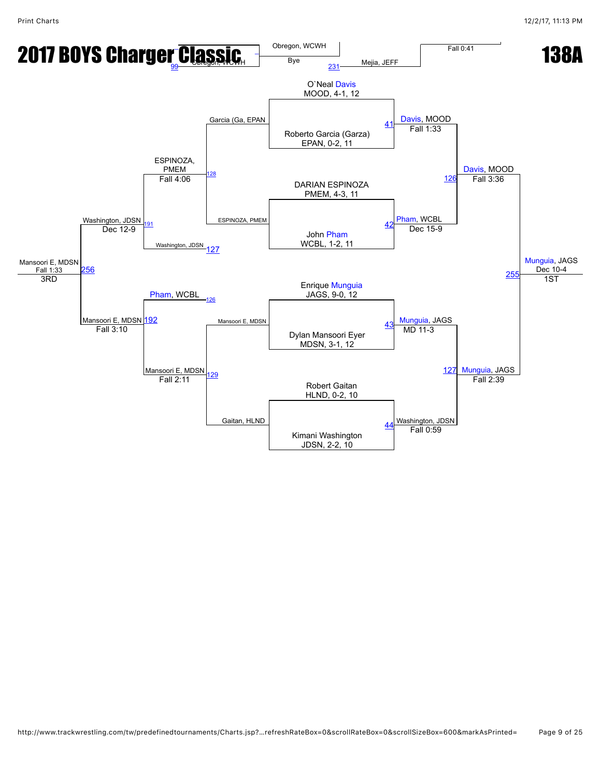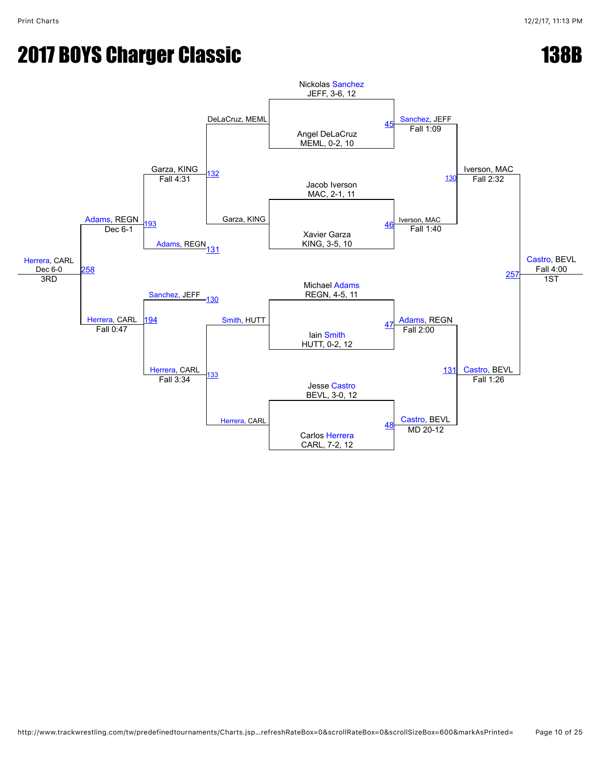## **2017 BOYS Charger Classic 138B**

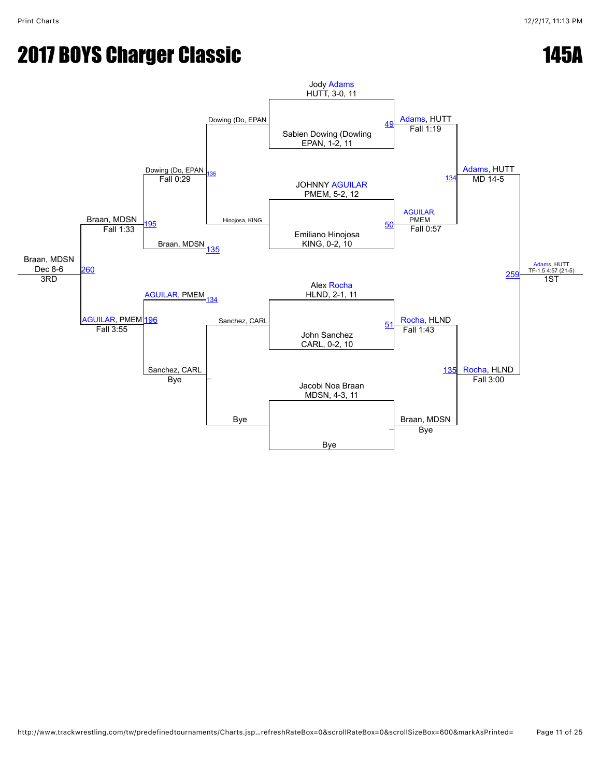### **2017 BOYS Charger Classic 145A**

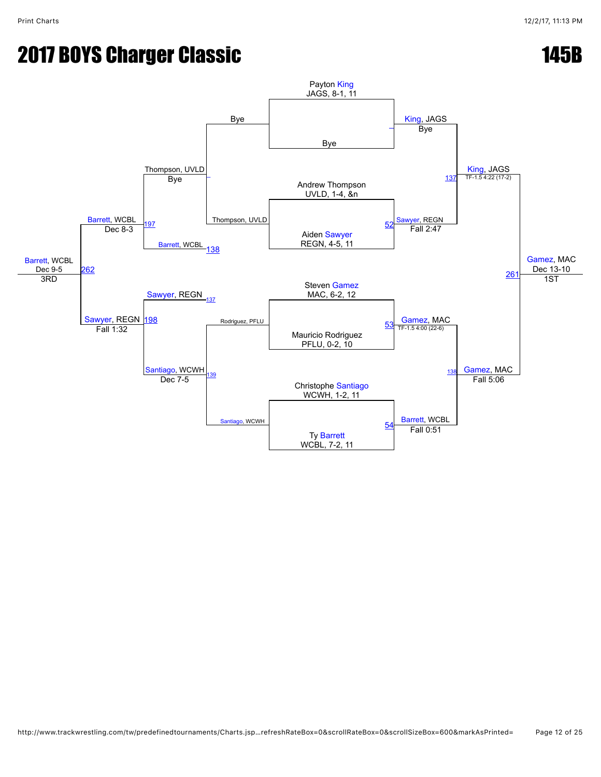# **2017 BOYS Charger Classic 145B**

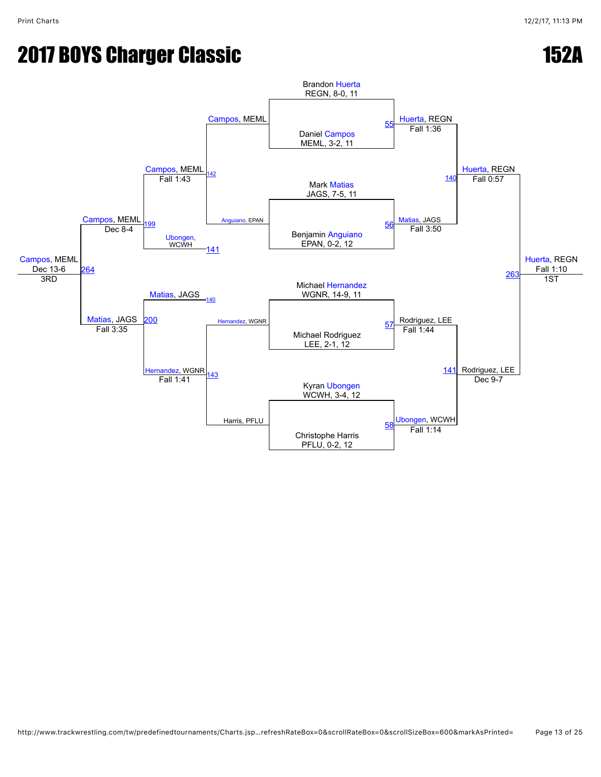### **2017 BOYS Charger Classic 152A**

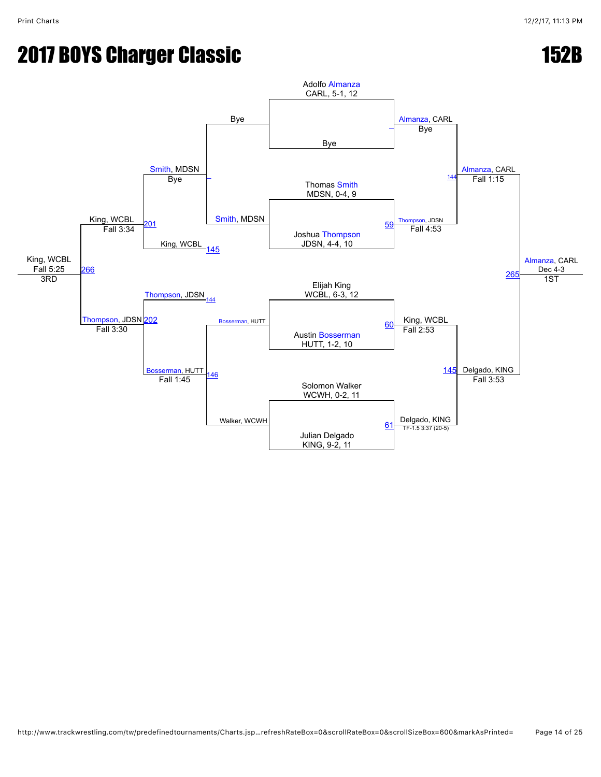# **2017 BOYS Charger Classic 152B**

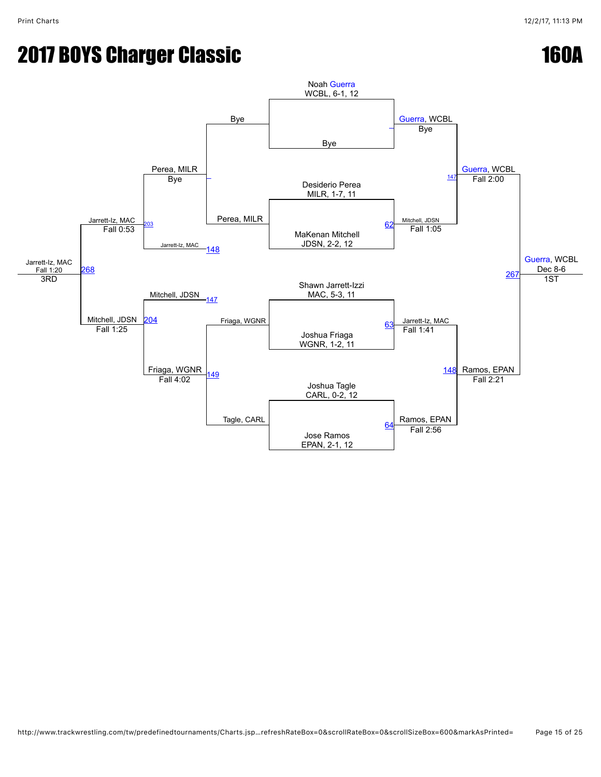# **2017 BOYS Charger Classic 160A**

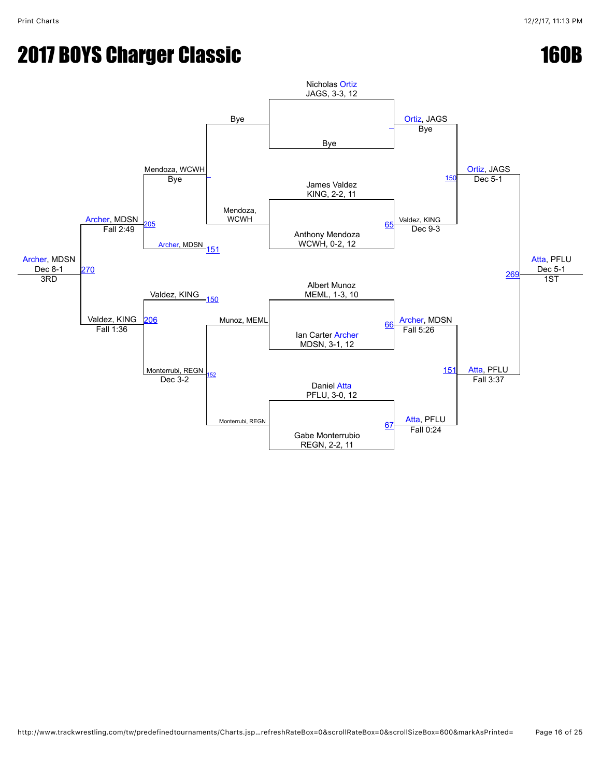# **2017 BOYS Charger Classic 160B**

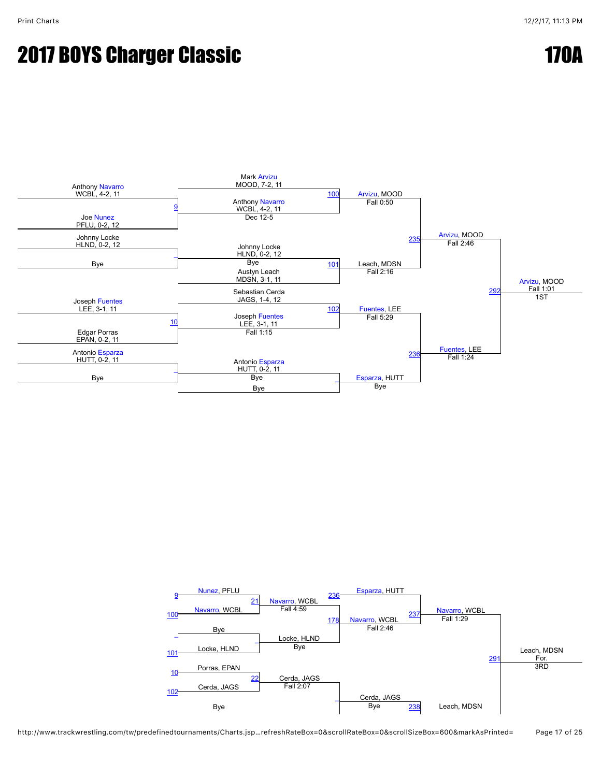#### **2017 BOYS Charger Classic 170A 2017 BOYS Charger Classic 170A**



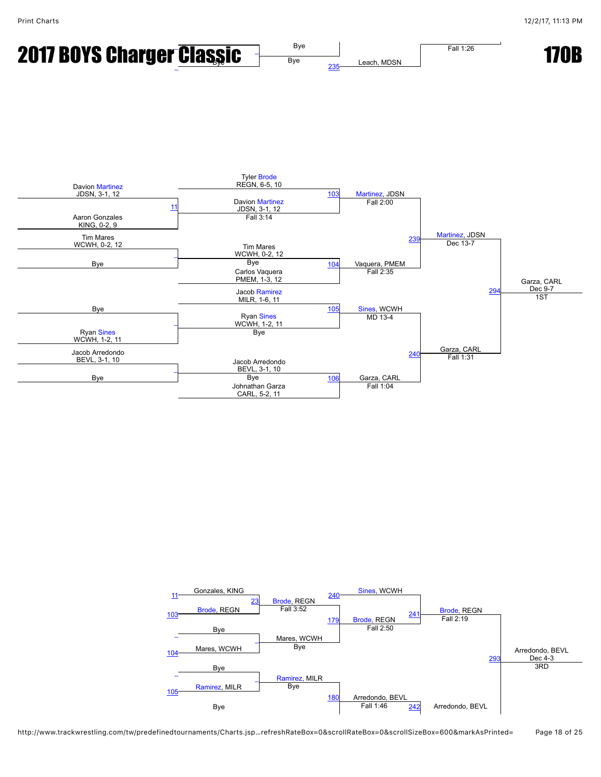



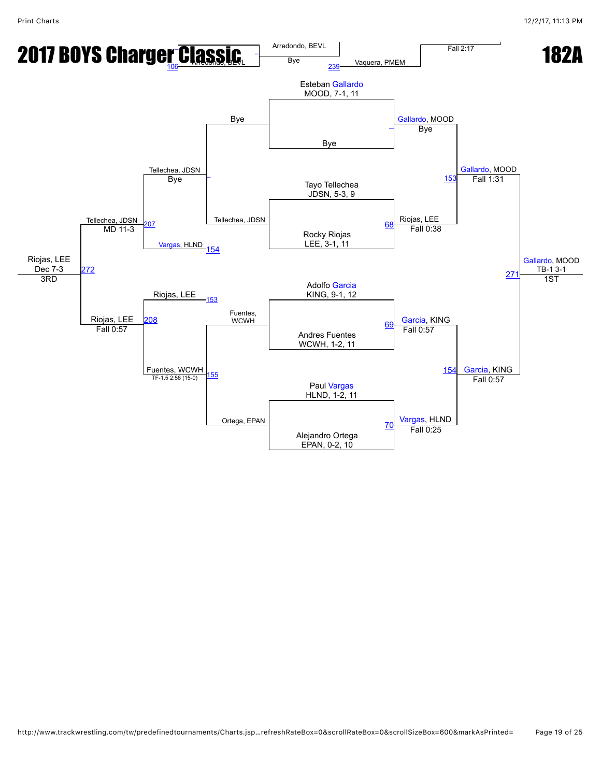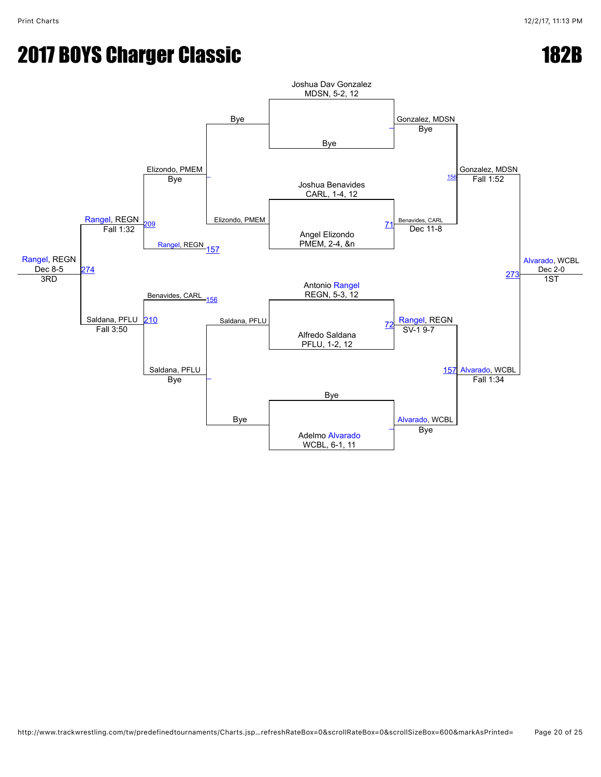# **2017 BOYS Charger Classic 182B**

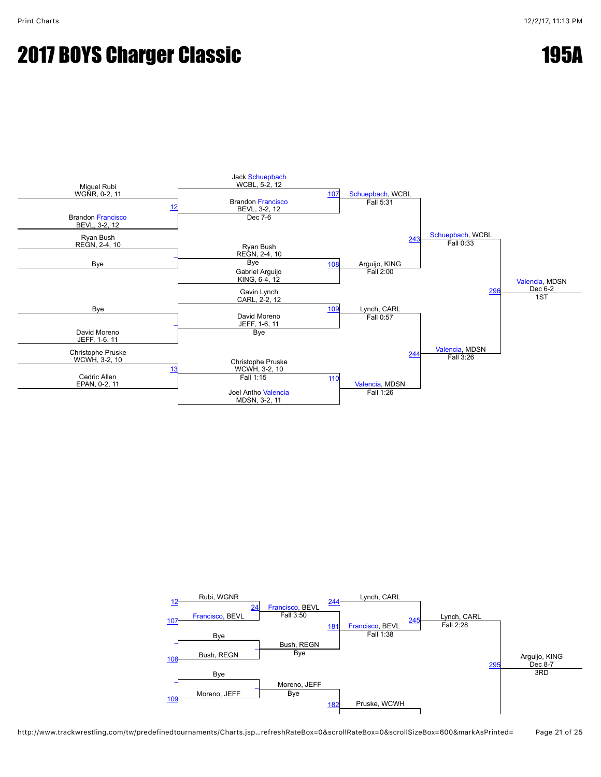#### **2017 BOYS Charger Classic 195A**



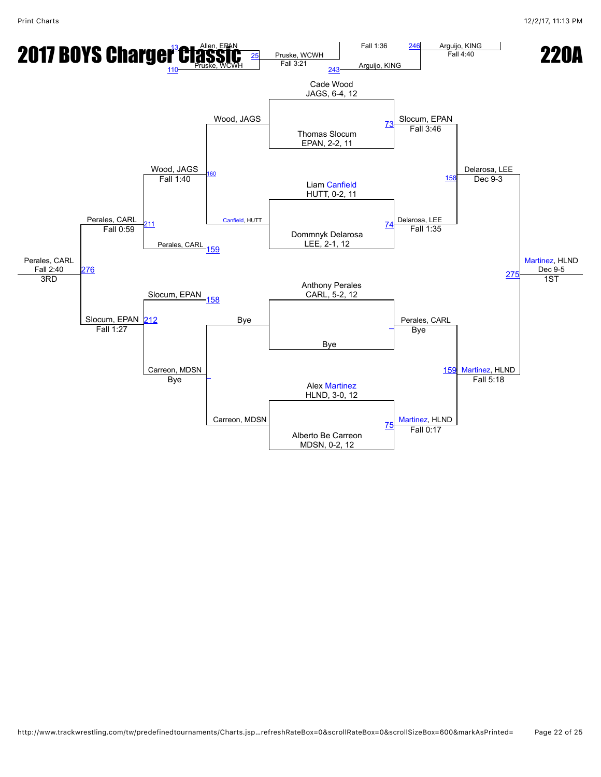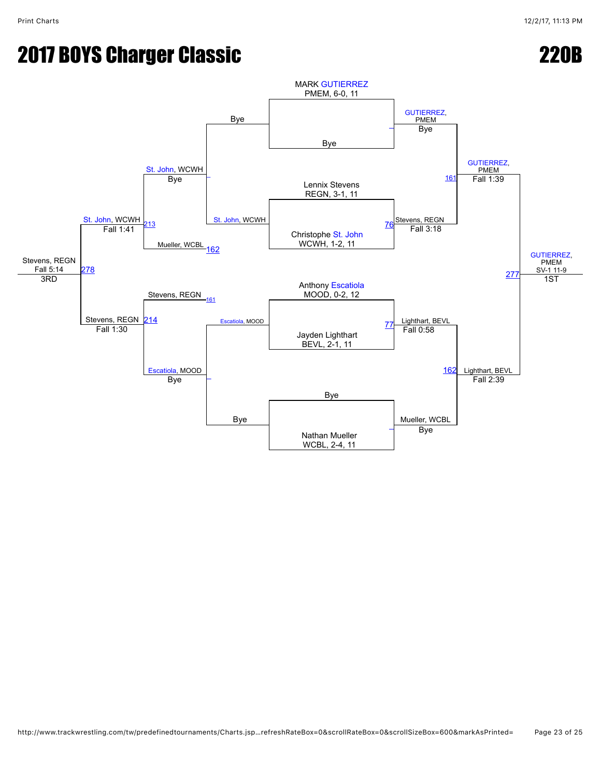## 2017 BOYS Charger Classic 2017 220B

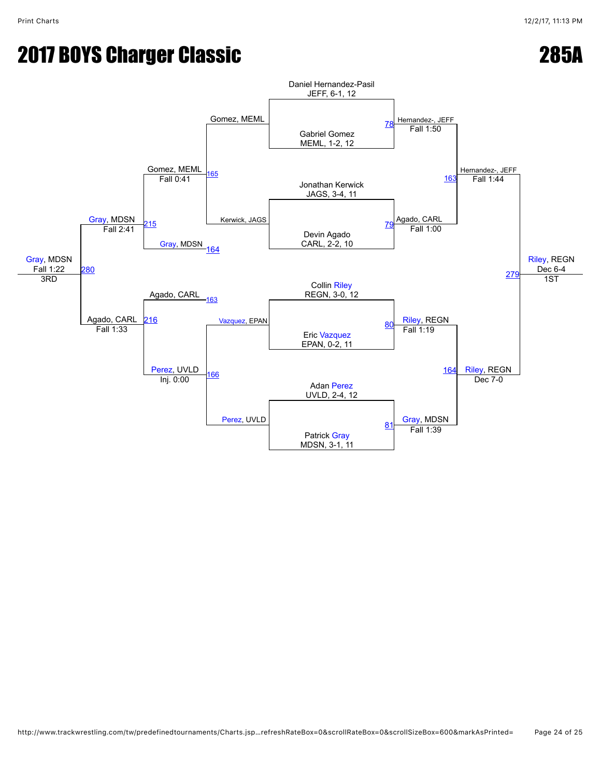## 2017 BOYS Charger Classic 285A